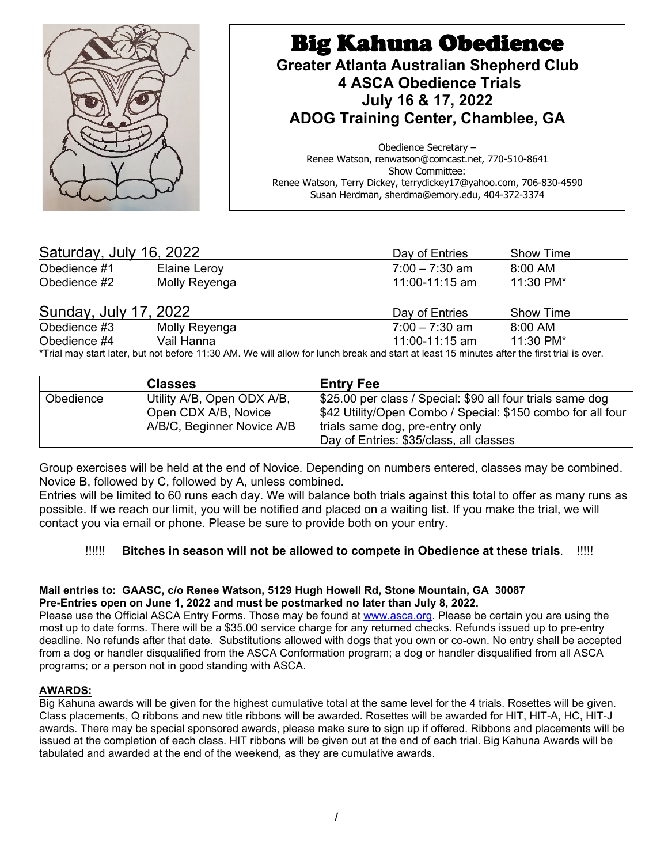

| Saturday, July 16, 2022                                                                                                                     |               | Day of Entries   | <b>Show Time</b> |  |
|---------------------------------------------------------------------------------------------------------------------------------------------|---------------|------------------|------------------|--|
| Obedience #1                                                                                                                                | Elaine Leroy  | $7:00 - 7:30$ am | $8:00$ AM        |  |
| Obedience #2                                                                                                                                | Molly Reyenga | 11:00-11:15 am   | 11:30 PM*        |  |
| <b>Sunday, July 17, 2022</b>                                                                                                                |               | Day of Entries   | Show Time        |  |
| Obedience #3                                                                                                                                | Molly Reyenga | $7:00 - 7:30$ am | $8:00$ AM        |  |
| Obedience #4                                                                                                                                | Vail Hanna    | 11:00-11:15 am   | 11:30 PM*        |  |
| *Trial may start later, but not before 11:30 AM. We will allow for lunch break and start at least 15 minutes after the first trial is over. |               |                  |                  |  |

|           | <b>Classes</b>                                                                   | ' Entry Fee                                                                                                                                                                                             |
|-----------|----------------------------------------------------------------------------------|---------------------------------------------------------------------------------------------------------------------------------------------------------------------------------------------------------|
| Obedience | Utility A/B, Open ODX A/B,<br>Open CDX A/B, Novice<br>A/B/C, Beginner Novice A/B | \$25.00 per class / Special: \$90 all four trials same dog<br>\$42 Utility/Open Combo / Special: \$150 combo for all four<br>trials same dog, pre-entry only<br>Day of Entries: \$35/class, all classes |

Group exercises will be held at the end of Novice. Depending on numbers entered, classes may be combined. Novice B, followed by C, followed by A, unless combined.

Entries will be limited to 60 runs each day. We will balance both trials against this total to offer as many runs as possible. If we reach our limit, you will be notified and placed on a waiting list. If you make the trial, we will contact you via email or phone. Please be sure to provide both on your entry.

# !!!!!! **Bitches in season will not be allowed to compete in Obedience at these trials**. !!!!!

#### **Mail entries to: GAASC, c/o Renee Watson, 5129 Hugh Howell Rd, Stone Mountain, GA 30087 Pre-Entries open on June 1, 2022 and must be postmarked no later than July 8, 2022.**

Please use the Official ASCA Entry Forms. Those may be found at [www.asca.org.](http://www.asca.org/) Please be certain you are using the most up to date forms. There will be a \$35.00 service charge for any returned checks. Refunds issued up to pre-entry deadline. No refunds after that date. Substitutions allowed with dogs that you own or co-own. No entry shall be accepted from a dog or handler disqualified from the ASCA Conformation program; a dog or handler disqualified from all ASCA programs; or a person not in good standing with ASCA.

#### **AWARDS:**

Big Kahuna awards will be given for the highest cumulative total at the same level for the 4 trials. Rosettes will be given. Class placements, Q ribbons and new title ribbons will be awarded. Rosettes will be awarded for HIT, HIT-A, HC, HIT-J awards. There may be special sponsored awards, please make sure to sign up if offered. Ribbons and placements will be issued at the completion of each class. HIT ribbons will be given out at the end of each trial. Big Kahuna Awards will be tabulated and awarded at the end of the weekend, as they are cumulative awards.